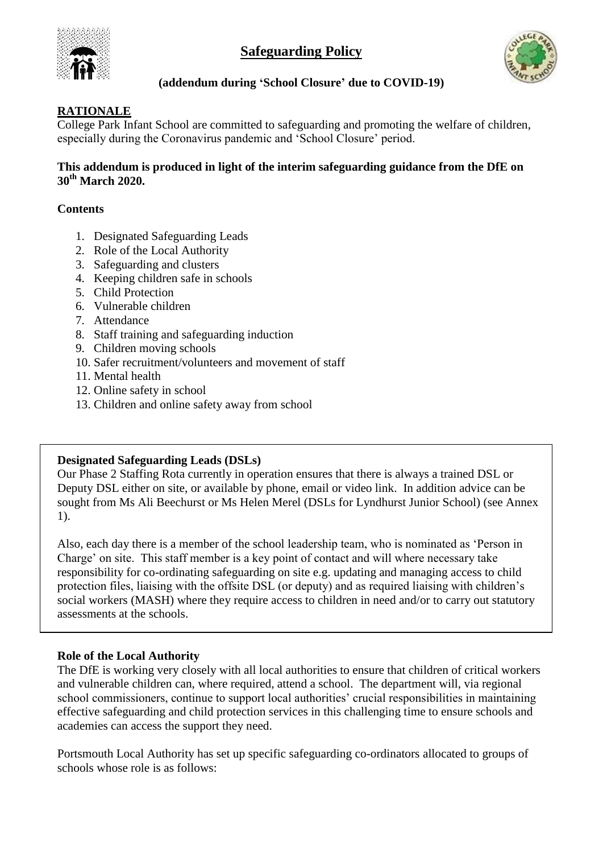# **Safeguarding Policy**





# **(addendum during 'School Closure' due to COVID-19)**

# **RATIONALE**

College Park Infant School are committed to safeguarding and promoting the welfare of children, especially during the Coronavirus pandemic and 'School Closure' period.

#### **This addendum is produced in light of the interim safeguarding guidance from the DfE on 30th March 2020.**

## **Contents**

- 1. Designated Safeguarding Leads
- 2. Role of the Local Authority
- 3. Safeguarding and clusters
- 4. Keeping children safe in schools
- 5. Child Protection
- 6. Vulnerable children
- 7. Attendance
- 8. Staff training and safeguarding induction
- 9. Children moving schools
- 10. Safer recruitment/volunteers and movement of staff
- 11. Mental health
- 12. Online safety in school
- 13. Children and online safety away from school

## **Designated Safeguarding Leads (DSLs)**

Our Phase 2 Staffing Rota currently in operation ensures that there is always a trained DSL or Deputy DSL either on site, or available by phone, email or video link. In addition advice can be sought from Ms Ali Beechurst or Ms Helen Merel (DSLs for Lyndhurst Junior School) (see Annex 1).

Also, each day there is a member of the school leadership team, who is nominated as 'Person in Charge' on site. This staff member is a key point of contact and will where necessary take responsibility for co-ordinating safeguarding on site e.g. updating and managing access to child protection files, liaising with the offsite DSL (or deputy) and as required liaising with children's social workers (MASH) where they require access to children in need and/or to carry out statutory assessments at the schools.

## **Role of the Local Authority**

The DfE is working very closely with all local authorities to ensure that children of critical workers and vulnerable children can, where required, attend a school. The department will, via regional school commissioners, continue to support local authorities' crucial responsibilities in maintaining effective safeguarding and child protection services in this challenging time to ensure schools and academies can access the support they need.

Portsmouth Local Authority has set up specific safeguarding co-ordinators allocated to groups of schools whose role is as follows: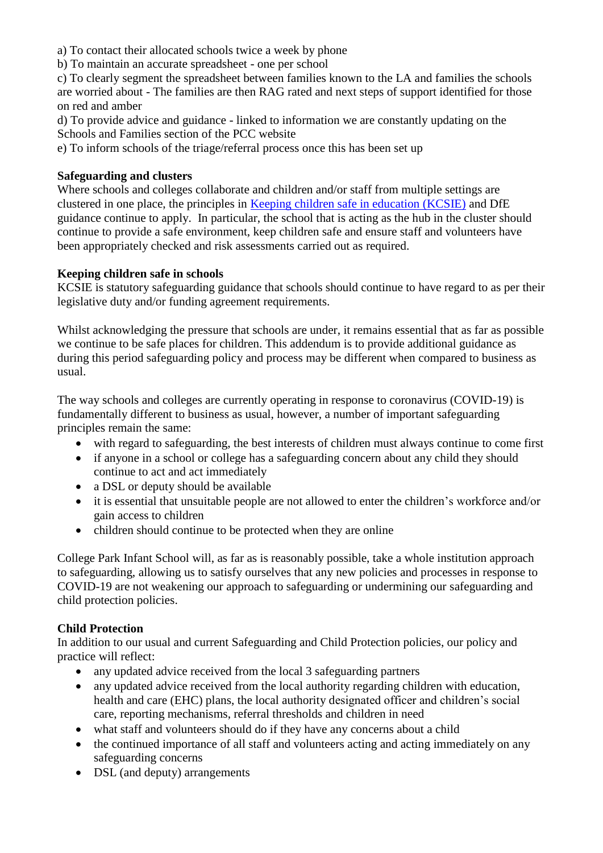a) To contact their allocated schools twice a week by phone

b) To maintain an accurate spreadsheet - one per school

c) To clearly segment the spreadsheet between families known to the LA and families the schools are worried about - The families are then RAG rated and next steps of support identified for those on red and amber

d) To provide advice and guidance - linked to information we are constantly updating on the Schools and Families section of the PCC website

e) To inform schools of the triage/referral process once this has been set up

## **Safeguarding and clusters**

Where schools and colleges collaborate and children and/or staff from multiple settings are clustered in one place, the principles in [Keeping children safe in education \(KCSIE\)](https://www.gov.uk/government/publications/keeping-children-safe-in-education--2) and DfE guidance continue to apply. In particular, the school that is acting as the hub in the cluster should continue to provide a safe environment, keep children safe and ensure staff and volunteers have been appropriately checked and risk assessments carried out as required.

#### **Keeping children safe in schools**

KCSIE is statutory safeguarding guidance that schools should continue to have regard to as per their legislative duty and/or funding agreement requirements.

Whilst acknowledging the pressure that schools are under, it remains essential that as far as possible we continue to be safe places for children. This addendum is to provide additional guidance as during this period safeguarding policy and process may be different when compared to business as usual.

The way schools and colleges are currently operating in response to coronavirus (COVID-19) is fundamentally different to business as usual, however, a number of important safeguarding principles remain the same:

- with regard to safeguarding, the best interests of children must always continue to come first
- if anyone in a school or college has a safeguarding concern about any child they should continue to act and act immediately
- a DSL or deputy should be available
- it is essential that unsuitable people are not allowed to enter the children's workforce and/or gain access to children
- children should continue to be protected when they are online

College Park Infant School will, as far as is reasonably possible, take a whole institution approach to safeguarding, allowing us to satisfy ourselves that any new policies and processes in response to COVID-19 are not weakening our approach to safeguarding or undermining our safeguarding and child protection policies.

## **Child Protection**

In addition to our usual and current Safeguarding and Child Protection policies, our policy and practice will reflect:

- any updated advice received from the local 3 safeguarding partners
- any updated advice received from the local authority regarding children with education, health and care (EHC) plans, the local authority designated officer and children's social care, reporting mechanisms, referral thresholds and children in need
- what staff and volunteers should do if they have any concerns about a child
- the continued importance of all staff and volunteers acting and acting immediately on any safeguarding concerns
- DSL (and deputy) arrangements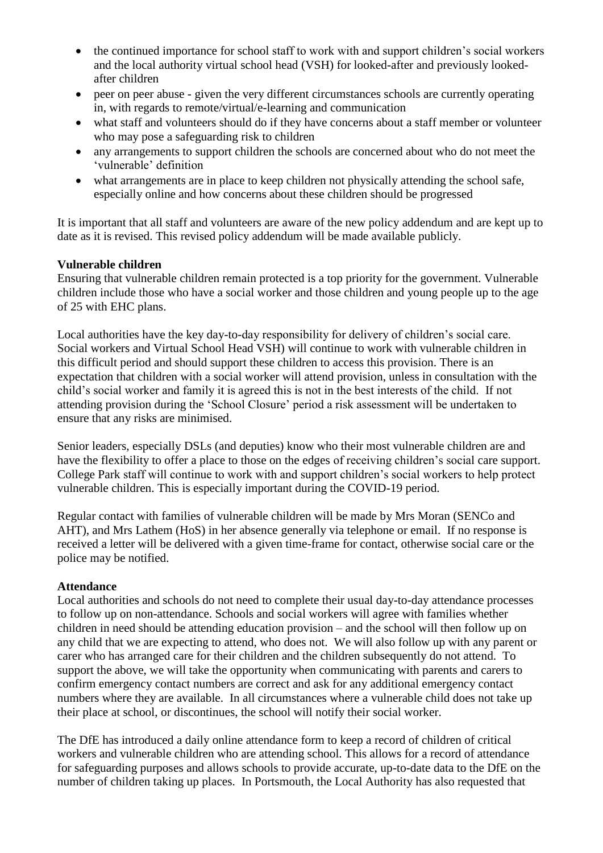- the continued importance for school staff to work with and support children's social workers and the local authority virtual school head (VSH) for looked-after and previously lookedafter children
- peer on peer abuse given the very different circumstances schools are currently operating in, with regards to remote/virtual/e-learning and communication
- what staff and volunteers should do if they have concerns about a staff member or volunteer who may pose a safeguarding risk to children
- any arrangements to support children the schools are concerned about who do not meet the 'vulnerable' definition
- what arrangements are in place to keep children not physically attending the school safe, especially online and how concerns about these children should be progressed

It is important that all staff and volunteers are aware of the new policy addendum and are kept up to date as it is revised. This revised policy addendum will be made available publicly.

#### **Vulnerable children**

Ensuring that vulnerable children remain protected is a top priority for the government. Vulnerable children include those who have a social worker and those children and young people up to the age of 25 with EHC plans.

Local authorities have the key day-to-day responsibility for delivery of children's social care. Social workers and Virtual School Head VSH) will continue to work with vulnerable children in this difficult period and should support these children to access this provision. There is an expectation that children with a social worker will attend provision, unless in consultation with the child's social worker and family it is agreed this is not in the best interests of the child. If not attending provision during the 'School Closure' period a risk assessment will be undertaken to ensure that any risks are minimised.

Senior leaders, especially DSLs (and deputies) know who their most vulnerable children are and have the flexibility to offer a place to those on the edges of receiving children's social care support. College Park staff will continue to work with and support children's social workers to help protect vulnerable children. This is especially important during the COVID-19 period.

Regular contact with families of vulnerable children will be made by Mrs Moran (SENCo and AHT), and Mrs Lathem (HoS) in her absence generally via telephone or email. If no response is received a letter will be delivered with a given time-frame for contact, otherwise social care or the police may be notified.

## **Attendance**

Local authorities and schools do not need to complete their usual day-to-day attendance processes to follow up on non-attendance. Schools and social workers will agree with families whether children in need should be attending education provision – and the school will then follow up on any child that we are expecting to attend, who does not. We will also follow up with any parent or carer who has arranged care for their children and the children subsequently do not attend. To support the above, we will take the opportunity when communicating with parents and carers to confirm emergency contact numbers are correct and ask for any additional emergency contact numbers where they are available. In all circumstances where a vulnerable child does not take up their place at school, or discontinues, the school will notify their social worker.

The DfE has introduced a daily online attendance form to keep a record of children of critical workers and vulnerable children who are attending school. This allows for a record of attendance for safeguarding purposes and allows schools to provide accurate, up-to-date data to the DfE on the number of children taking up places. In Portsmouth, the Local Authority has also requested that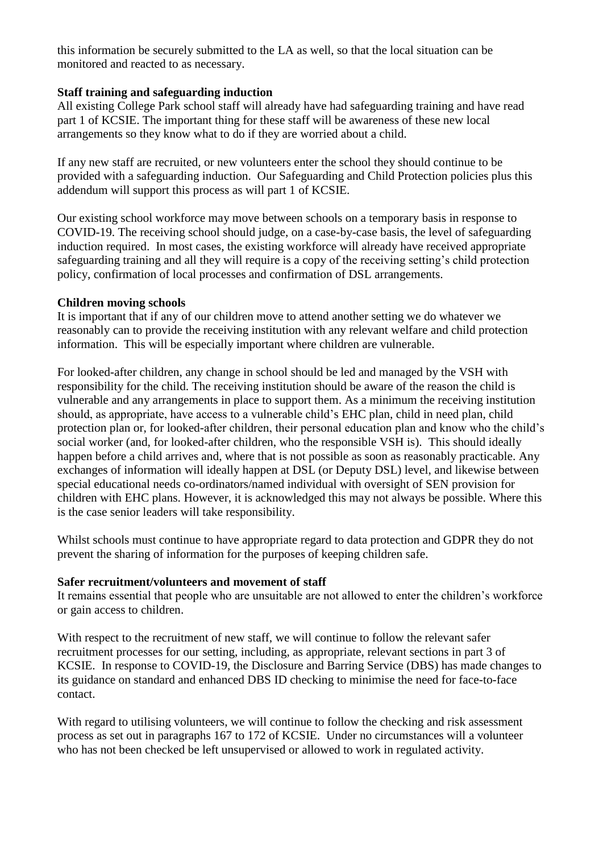this information be securely submitted to the LA as well, so that the local situation can be monitored and reacted to as necessary.

#### **Staff training and safeguarding induction**

All existing College Park school staff will already have had safeguarding training and have read part 1 of KCSIE. The important thing for these staff will be awareness of these new local arrangements so they know what to do if they are worried about a child.

If any new staff are recruited, or new volunteers enter the school they should continue to be provided with a safeguarding induction. Our Safeguarding and Child Protection policies plus this addendum will support this process as will part 1 of KCSIE.

Our existing school workforce may move between schools on a temporary basis in response to COVID-19. The receiving school should judge, on a case-by-case basis, the level of safeguarding induction required. In most cases, the existing workforce will already have received appropriate safeguarding training and all they will require is a copy of the receiving setting's child protection policy, confirmation of local processes and confirmation of DSL arrangements.

#### **Children moving schools**

It is important that if any of our children move to attend another setting we do whatever we reasonably can to provide the receiving institution with any relevant welfare and child protection information. This will be especially important where children are vulnerable.

For looked-after children, any change in school should be led and managed by the VSH with responsibility for the child. The receiving institution should be aware of the reason the child is vulnerable and any arrangements in place to support them. As a minimum the receiving institution should, as appropriate, have access to a vulnerable child's EHC plan, child in need plan, child protection plan or, for looked-after children, their personal education plan and know who the child's social worker (and, for looked-after children, who the responsible VSH is). This should ideally happen before a child arrives and, where that is not possible as soon as reasonably practicable. Any exchanges of information will ideally happen at DSL (or Deputy DSL) level, and likewise between special educational needs co-ordinators/named individual with oversight of SEN provision for children with EHC plans. However, it is acknowledged this may not always be possible. Where this is the case senior leaders will take responsibility.

Whilst schools must continue to have appropriate regard to data protection and GDPR they do not prevent the sharing of information for the purposes of keeping children safe.

#### **Safer recruitment/volunteers and movement of staff**

It remains essential that people who are unsuitable are not allowed to enter the children's workforce or gain access to children.

With respect to the recruitment of new staff, we will continue to follow the relevant safer recruitment processes for our setting, including, as appropriate, relevant sections in part 3 of KCSIE. In response to COVID-19, the Disclosure and Barring Service (DBS) has made changes to its guidance on standard and enhanced DBS ID checking to minimise the need for face-to-face contact.

With regard to utilising volunteers, we will continue to follow the checking and risk assessment process as set out in paragraphs 167 to 172 of KCSIE. Under no circumstances will a volunteer who has not been checked be left unsupervised or allowed to work in regulated activity.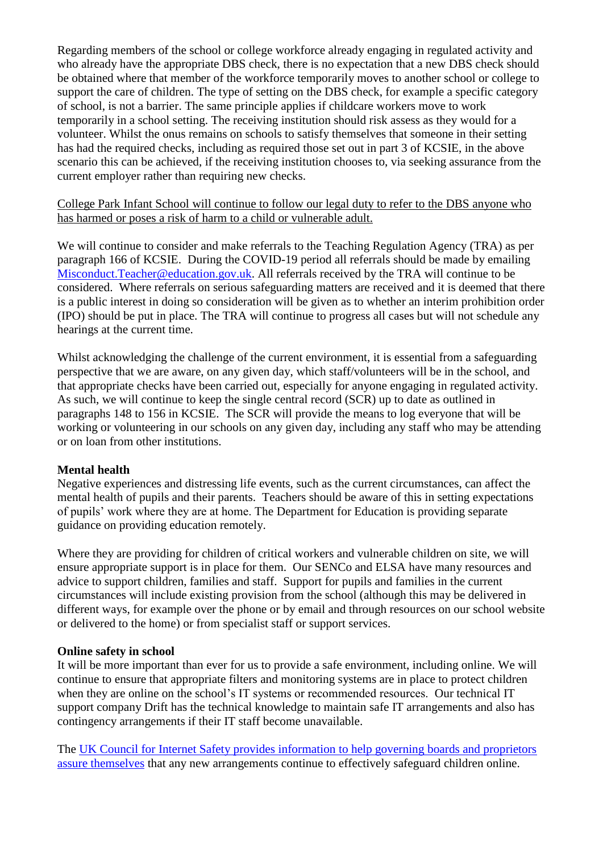Regarding members of the school or college workforce already engaging in regulated activity and who already have the appropriate DBS check, there is no expectation that a new DBS check should be obtained where that member of the workforce temporarily moves to another school or college to support the care of children. The type of setting on the DBS check, for example a specific category of school, is not a barrier. The same principle applies if childcare workers move to work temporarily in a school setting. The receiving institution should risk assess as they would for a volunteer. Whilst the onus remains on schools to satisfy themselves that someone in their setting has had the required checks, including as required those set out in part 3 of KCSIE, in the above scenario this can be achieved, if the receiving institution chooses to, via seeking assurance from the current employer rather than requiring new checks.

#### College Park Infant School will continue to follow our legal duty to refer to the DBS anyone who has harmed or poses a risk of harm to a child or vulnerable adult.

We will continue to consider and make referrals to the Teaching Regulation Agency (TRA) as per paragraph 166 of KCSIE. During the COVID-19 period all referrals should be made by emailing [Misconduct.Teacher@education.gov.uk.](mailto:Misconduct.Teacher@education.gov.uk) All referrals received by the TRA will continue to be considered. Where referrals on serious safeguarding matters are received and it is deemed that there is a public interest in doing so consideration will be given as to whether an interim prohibition order (IPO) should be put in place. The TRA will continue to progress all cases but will not schedule any hearings at the current time.

Whilst acknowledging the challenge of the current environment, it is essential from a safeguarding perspective that we are aware, on any given day, which staff/volunteers will be in the school, and that appropriate checks have been carried out, especially for anyone engaging in regulated activity. As such, we will continue to keep the single central record (SCR) up to date as outlined in paragraphs 148 to 156 in KCSIE. The SCR will provide the means to log everyone that will be working or volunteering in our schools on any given day, including any staff who may be attending or on loan from other institutions.

## **Mental health**

Negative experiences and distressing life events, such as the current circumstances, can affect the mental health of pupils and their parents. Teachers should be aware of this in setting expectations of pupils' work where they are at home. The Department for Education is providing separate guidance on providing education remotely.

Where they are providing for children of critical workers and vulnerable children on site, we will ensure appropriate support is in place for them. Our SENCo and ELSA have many resources and advice to support children, families and staff. Support for pupils and families in the current circumstances will include existing provision from the school (although this may be delivered in different ways, for example over the phone or by email and through resources on our school website or delivered to the home) or from specialist staff or support services.

## **Online safety in school**

It will be more important than ever for us to provide a safe environment, including online. We will continue to ensure that appropriate filters and monitoring systems are in place to protect children when they are online on the school's IT systems or recommended resources. Our technical IT support company Drift has the technical knowledge to maintain safe IT arrangements and also has contingency arrangements if their IT staff become unavailable.

The [UK Council for Internet Safety provides information to help governing boards and proprietors](https://www.gov.uk/government/publications/online-safety-in-schools-and-colleges-questions-from-the-governing-board)  [assure themselves](https://www.gov.uk/government/publications/online-safety-in-schools-and-colleges-questions-from-the-governing-board) that any new arrangements continue to effectively safeguard children online.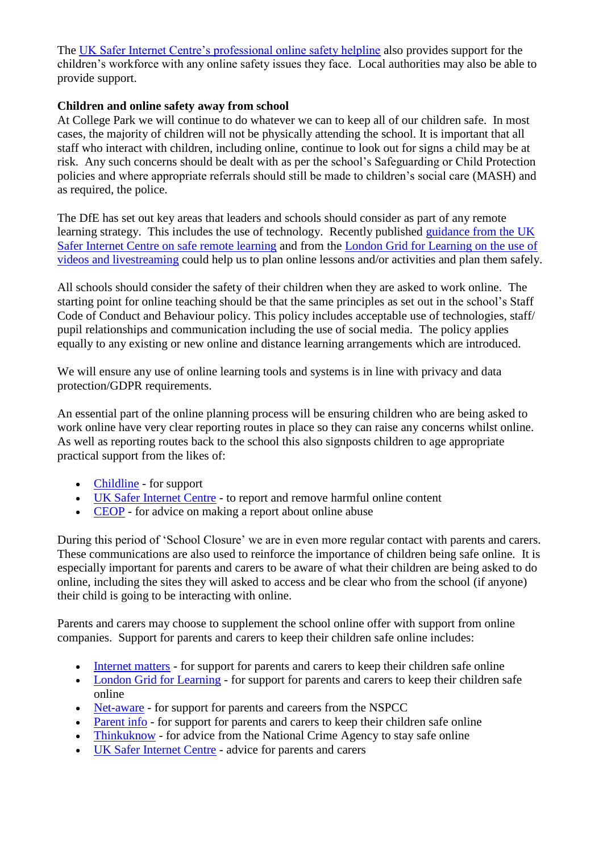The [UK Safer Internet Centre's professional online safety helpline](https://www.saferinternet.org.uk/helpline/professionals-online-safety-helpline) also provides support for the children's workforce with any online safety issues they face. Local authorities may also be able to provide support.

#### **Children and online safety away from school**

At College Park we will continue to do whatever we can to keep all of our children safe. In most cases, the majority of children will not be physically attending the school. It is important that all staff who interact with children, including online, continue to look out for signs a child may be at risk. Any such concerns should be dealt with as per the school's Safeguarding or Child Protection policies and where appropriate referrals should still be made to children's social care (MASH) and as required, the police.

The DfE has set out key areas that leaders and schools should consider as part of any remote learning strategy. This includes the use of technology. Recently published [guidance from the UK](https://swgfl.org.uk/resources/safe-remote-learning/)  [Safer Internet Centre on safe remote learning](https://swgfl.org.uk/resources/safe-remote-learning/) and from the [London Grid for Learning on the use of](https://static.lgfl.net/LgflNet/downloads/digisafe/Safe-Lessons-by-Video-and-Livestream.pdf)  [videos and livestreaming](https://static.lgfl.net/LgflNet/downloads/digisafe/Safe-Lessons-by-Video-and-Livestream.pdf) could help us to plan online lessons and/or activities and plan them safely.

All schools should consider the safety of their children when they are asked to work online. The starting point for online teaching should be that the same principles as set out in the school's Staff Code of Conduct and Behaviour policy. This policy includes acceptable use of technologies, staff/ pupil relationships and communication including the use of social media. The policy applies equally to any existing or new online and distance learning arrangements which are introduced.

We will ensure any use of online learning tools and systems is in line with privacy and data protection/GDPR requirements.

An essential part of the online planning process will be ensuring children who are being asked to work online have very clear reporting routes in place so they can raise any concerns whilst online. As well as reporting routes back to the school this also signposts children to age appropriate practical support from the likes of:

- [Childline](https://www.childline.org.uk/?utm_source=google&utm_medium=cpc&utm_campaign=UK_GO_S_B_BND_Grant_Childline_Information&utm_term=role_of_childline&gclsrc=aw.ds&&gclid=EAIaIQobChMIlfLRh-ez6AIVRrDtCh1N9QR2EAAYASAAEgLc-vD_BwE&gclsrc=aw.ds) for support
- [UK Safer Internet Centre](https://reportharmfulcontent.com/) to report and remove harmful online content
- [CEOP](https://www.ceop.police.uk/safety-centre/) for advice on making a report about online abuse

During this period of 'School Closure' we are in even more regular contact with parents and carers. These communications are also used to reinforce the importance of children being safe online. It is especially important for parents and carers to be aware of what their children are being asked to do online, including the sites they will asked to access and be clear who from the school (if anyone) their child is going to be interacting with online.

Parents and carers may choose to supplement the school online offer with support from online companies. Support for parents and carers to keep their children safe online includes:

- [Internet matters](https://www.internetmatters.org/?gclid=EAIaIQobChMIktuA5LWK2wIVRYXVCh2afg2aEAAYASAAEgIJ5vD_BwE) for support for parents and carers to keep their children safe online
- [London Grid for Learning](http://www.lgfl.net/online-safety/) for support for parents and carers to keep their children safe online
- [Net-aware](https://www.net-aware.org.uk/) for support for parents and careers from the NSPCC
- [Parent info](https://parentinfo.org/) for support for parents and carers to keep their children safe online
- [Thinkuknow](http://www.thinkuknow.co.uk/) for advice from the National Crime Agency to stay safe online
- [UK Safer Internet Centre](https://www.saferinternet.org.uk/advice-centre/parents-and-carers) advice for parents and carers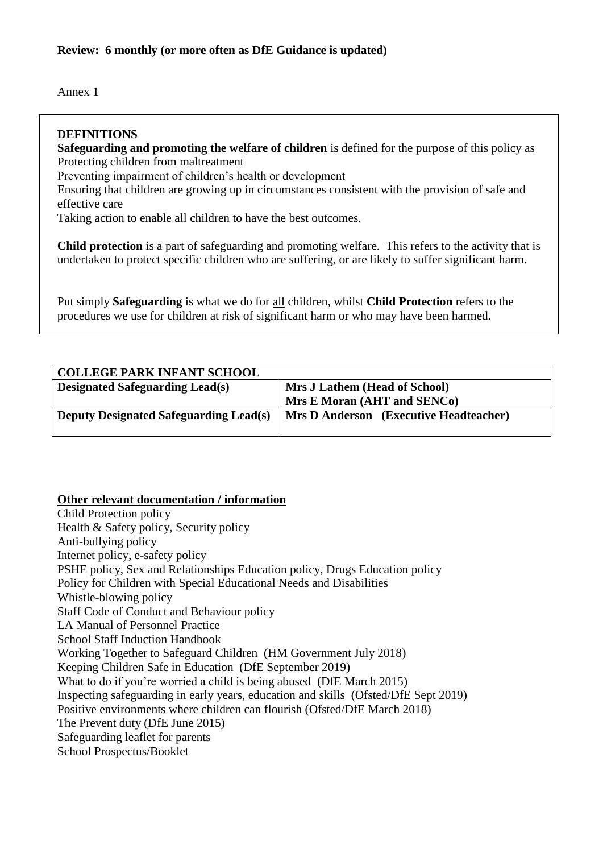Annex 1

## **DEFINITIONS**

**Safeguarding and promoting the welfare of children** is defined for the purpose of this policy as Protecting children from maltreatment

Preventing impairment of children's health or development

Ensuring that children are growing up in circumstances consistent with the provision of safe and effective care

Taking action to enable all children to have the best outcomes.

**Child protection** is a part of safeguarding and promoting welfare. This refers to the activity that is undertaken to protect specific children who are suffering, or are likely to suffer significant harm.

Put simply **Safeguarding** is what we do for all children, whilst **Child Protection** refers to the procedures we use for children at risk of significant harm or who may have been harmed.

| <b>COLLEGE PARK INFANT SCHOOL</b>             |                                               |
|-----------------------------------------------|-----------------------------------------------|
| <b>Designated Safeguarding Lead(s)</b>        | Mrs J Lathem (Head of School)                 |
|                                               | Mrs E Moran (AHT and SENCo)                   |
| <b>Deputy Designated Safeguarding Lead(s)</b> | <b>Mrs D Anderson</b> (Executive Headteacher) |
|                                               |                                               |

#### **Other relevant documentation / information**

Child Protection policy Health & Safety policy, Security policy Anti-bullying policy Internet policy, e-safety policy PSHE policy, Sex and Relationships Education policy, Drugs Education policy Policy for Children with Special Educational Needs and Disabilities Whistle-blowing policy Staff Code of Conduct and Behaviour policy LA Manual of Personnel Practice School Staff Induction Handbook Working Together to Safeguard Children (HM Government July 2018) Keeping Children Safe in Education (DfE September 2019) What to do if you're worried a child is being abused (DfE March 2015) Inspecting safeguarding in early years, education and skills (Ofsted/DfE Sept 2019) Positive environments where children can flourish (Ofsted/DfE March 2018) The Prevent duty (DfE June 2015) Safeguarding leaflet for parents School Prospectus/Booklet